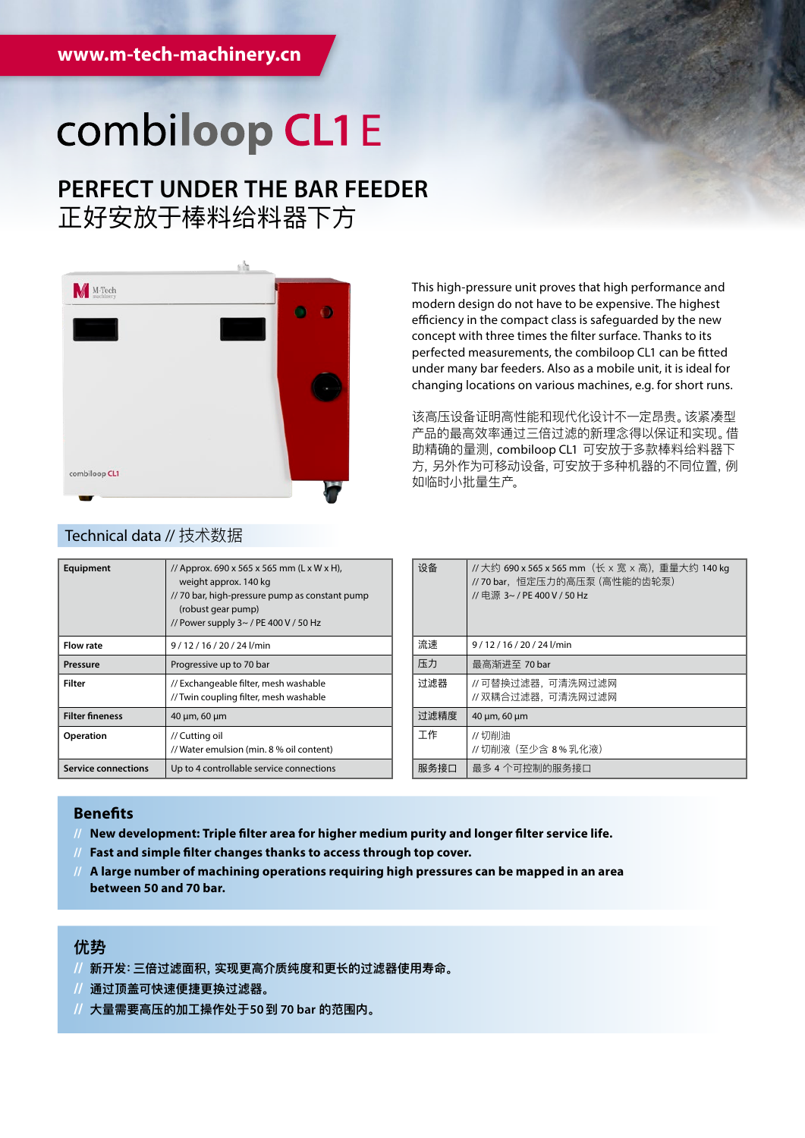## combiloop CL1E

### **PERFECT UNDER THE BAR FEEDER** 正好安放于棒料给料器下方



This high-pressure unit proves that high performance and modern design do not have to be expensive. The highest efficiency in the compact class is safeguarded by the new concept with three times the filter surface. Thanks to its perfected measurements, the combiloop CL1 can be fitted under many bar feeders. Also as a mobile unit, it is ideal for changing locations on various machines, e.g. for short runs.

该高压设备证明高性能和现代化设计不一定昂贵。该紧凑型 产品的最高效率通过三倍过滤的新理念得以保证和实现。借 助精确的量测,combiloop CL1 可安放于多款棒料给料器下 方,另外作为可移动设备,可安放于多种机器的不同位置,例 如临时小批量生产。

| Equipment                  | // Approx. 690 x 565 x 565 mm (L x W x H),<br>weight approx. 140 kg<br>// 70 bar, high-pressure pump as constant pump<br>(robust gear pump)<br>// Power supply $3 \sim$ / PE 400 V / 50 Hz |
|----------------------------|--------------------------------------------------------------------------------------------------------------------------------------------------------------------------------------------|
| <b>Flow rate</b>           | 9/12/16/20/24l/min                                                                                                                                                                         |
| Pressure                   | Progressive up to 70 bar                                                                                                                                                                   |
| Filter                     | // Exchangeable filter, mesh washable<br>// Twin coupling filter, mesh washable                                                                                                            |
| <b>Filter fineness</b>     | 40 µm, 60 µm                                                                                                                                                                               |
| Operation                  | // Cutting oil<br>// Water emulsion (min. 8 % oil content)                                                                                                                                 |
| <b>Service connections</b> | Up to 4 controllable service connections                                                                                                                                                   |

| 设备   | //大约 690 x 565 x 565 mm (长 x 宽 x 高), 重量大约 140 kg<br>// 70 bar,恒定压力的高压泵 (高性能的齿轮泵)<br>// 电源 3~ / PE 400 V / 50 Hz |
|------|-----------------------------------------------------------------------------------------------------------------|
| 流速   | 9/12/16/20/24l/min                                                                                              |
| 压力   | 最高渐讲至 70 bar                                                                                                    |
| 讨滤器  | //可替换过滤器,可清洗网过滤网<br>// 双耦合过滤器,可清洗网过滤网                                                                           |
| 讨滤精度 | 40 µm, 60 µm                                                                                                    |
| 工作   | //切削油<br>// 切削液 (至少含 8%乳化液)                                                                                     |
| 服务接口 | 最多 4 个可控制的服务接口                                                                                                  |

#### **Benefits**

- **// New development: Triple filter area for higher medium purity and longer filter service life.**
- **// Fast and simple filter changes thanks to access through top cover.**
- **// A large number of machining operations requiring high pressures can be mapped in an area between 50 and 70 bar.**

### **优势**

- **// 新开发:三倍过滤面积,实现更高介质纯度和更长的过滤器使用寿命。**
- **// 通过顶盖可快速便捷更换过滤器。**
- **// 大量需要高压的加工操作处于50到 70 bar 的范围内。**

#### Technical data // 技术数据